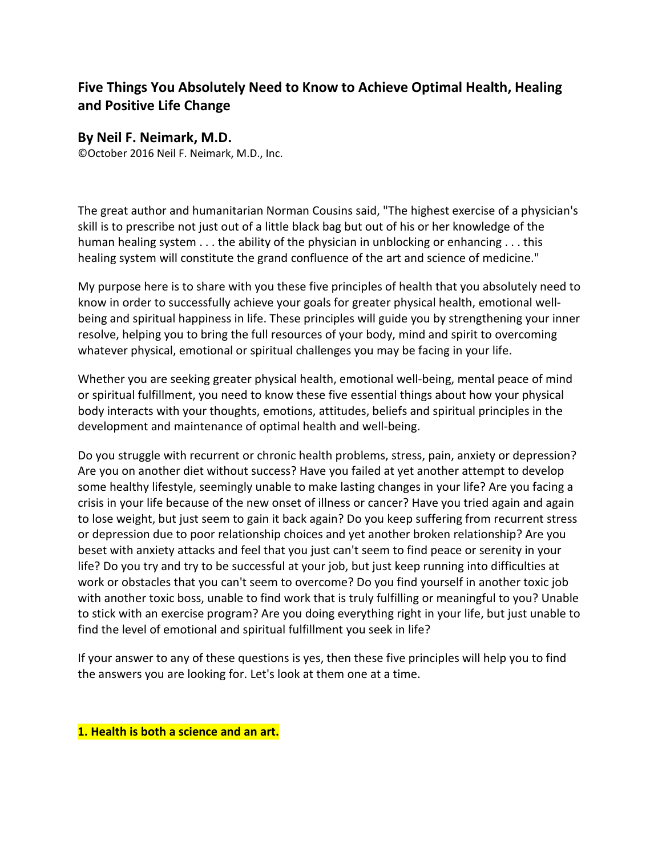# **Five Things You Absolutely Need to Know to Achieve Optimal Health, Healing and Positive Life Change**

## **By Neil F. Neimark, M.D.**

©October 2016 Neil F. Neimark, M.D., Inc.

The great author and humanitarian Norman Cousins said, "The highest exercise of a physician's skill is to prescribe not just out of a little black bag but out of his or her knowledge of the human healing system . . . the ability of the physician in unblocking or enhancing . . . this healing system will constitute the grand confluence of the art and science of medicine."

My purpose here is to share with you these five principles of health that you absolutely need to know in order to successfully achieve your goals for greater physical health, emotional wellbeing and spiritual happiness in life. These principles will guide you by strengthening your inner resolve, helping you to bring the full resources of your body, mind and spirit to overcoming whatever physical, emotional or spiritual challenges you may be facing in your life.

Whether you are seeking greater physical health, emotional well-being, mental peace of mind or spiritual fulfillment, you need to know these five essential things about how your physical body interacts with your thoughts, emotions, attitudes, beliefs and spiritual principles in the development and maintenance of optimal health and well-being.

Do you struggle with recurrent or chronic health problems, stress, pain, anxiety or depression? Are you on another diet without success? Have you failed at yet another attempt to develop some healthy lifestyle, seemingly unable to make lasting changes in your life? Are you facing a crisis in your life because of the new onset of illness or cancer? Have you tried again and again to lose weight, but just seem to gain it back again? Do you keep suffering from recurrent stress or depression due to poor relationship choices and yet another broken relationship? Are you beset with anxiety attacks and feel that you just can't seem to find peace or serenity in your life? Do you try and try to be successful at your job, but just keep running into difficulties at work or obstacles that you can't seem to overcome? Do you find yourself in another toxic job with another toxic boss, unable to find work that is truly fulfilling or meaningful to you? Unable to stick with an exercise program? Are you doing everything right in your life, but just unable to find the level of emotional and spiritual fulfillment you seek in life?

If your answer to any of these questions is yes, then these five principles will help you to find the answers you are looking for. Let's look at them one at a time.

**1. Health is both a science and an art.**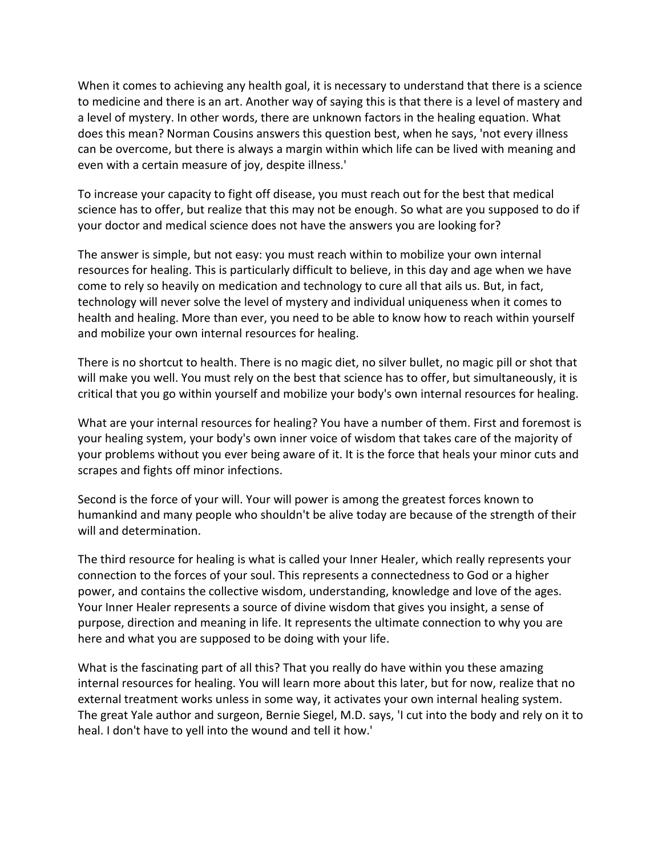When it comes to achieving any health goal, it is necessary to understand that there is a science to medicine and there is an art. Another way of saying this is that there is a level of mastery and a level of mystery. In other words, there are unknown factors in the healing equation. What does this mean? Norman Cousins answers this question best, when he says, 'not every illness can be overcome, but there is always a margin within which life can be lived with meaning and even with a certain measure of joy, despite illness.'

To increase your capacity to fight off disease, you must reach out for the best that medical science has to offer, but realize that this may not be enough. So what are you supposed to do if your doctor and medical science does not have the answers you are looking for?

The answer is simple, but not easy: you must reach within to mobilize your own internal resources for healing. This is particularly difficult to believe, in this day and age when we have come to rely so heavily on medication and technology to cure all that ails us. But, in fact, technology will never solve the level of mystery and individual uniqueness when it comes to health and healing. More than ever, you need to be able to know how to reach within yourself and mobilize your own internal resources for healing.

There is no shortcut to health. There is no magic diet, no silver bullet, no magic pill or shot that will make you well. You must rely on the best that science has to offer, but simultaneously, it is critical that you go within yourself and mobilize your body's own internal resources for healing.

What are your internal resources for healing? You have a number of them. First and foremost is your healing system, your body's own inner voice of wisdom that takes care of the majority of your problems without you ever being aware of it. It is the force that heals your minor cuts and scrapes and fights off minor infections.

Second is the force of your will. Your will power is among the greatest forces known to humankind and many people who shouldn't be alive today are because of the strength of their will and determination.

The third resource for healing is what is called your Inner Healer, which really represents your connection to the forces of your soul. This represents a connectedness to God or a higher power, and contains the collective wisdom, understanding, knowledge and love of the ages. Your Inner Healer represents a source of divine wisdom that gives you insight, a sense of purpose, direction and meaning in life. It represents the ultimate connection to why you are here and what you are supposed to be doing with your life.

What is the fascinating part of all this? That you really do have within you these amazing internal resources for healing. You will learn more about this later, but for now, realize that no external treatment works unless in some way, it activates your own internal healing system. The great Yale author and surgeon, Bernie Siegel, M.D. says, 'I cut into the body and rely on it to heal. I don't have to yell into the wound and tell it how.'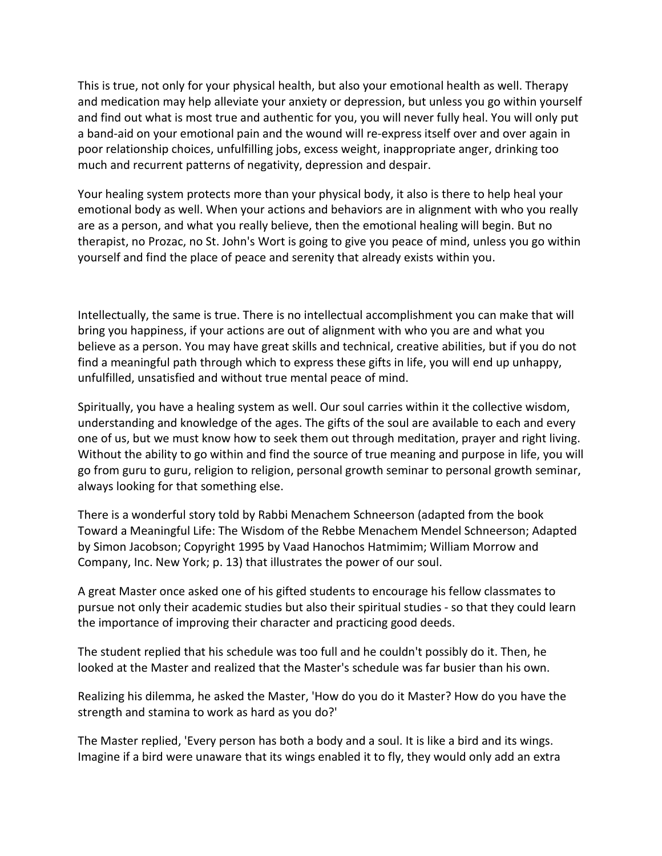This is true, not only for your physical health, but also your emotional health as well. Therapy and medication may help alleviate your anxiety or depression, but unless you go within yourself and find out what is most true and authentic for you, you will never fully heal. You will only put a band-aid on your emotional pain and the wound will re-express itself over and over again in poor relationship choices, unfulfilling jobs, excess weight, inappropriate anger, drinking too much and recurrent patterns of negativity, depression and despair.

Your healing system protects more than your physical body, it also is there to help heal your emotional body as well. When your actions and behaviors are in alignment with who you really are as a person, and what you really believe, then the emotional healing will begin. But no therapist, no Prozac, no St. John's Wort is going to give you peace of mind, unless you go within yourself and find the place of peace and serenity that already exists within you.

Intellectually, the same is true. There is no intellectual accomplishment you can make that will bring you happiness, if your actions are out of alignment with who you are and what you believe as a person. You may have great skills and technical, creative abilities, but if you do not find a meaningful path through which to express these gifts in life, you will end up unhappy, unfulfilled, unsatisfied and without true mental peace of mind.

Spiritually, you have a healing system as well. Our soul carries within it the collective wisdom, understanding and knowledge of the ages. The gifts of the soul are available to each and every one of us, but we must know how to seek them out through meditation, prayer and right living. Without the ability to go within and find the source of true meaning and purpose in life, you will go from guru to guru, religion to religion, personal growth seminar to personal growth seminar, always looking for that something else.

There is a wonderful story told by Rabbi Menachem Schneerson (adapted from the book Toward a Meaningful Life: The Wisdom of the Rebbe Menachem Mendel Schneerson; Adapted by Simon Jacobson; Copyright 1995 by Vaad Hanochos Hatmimim; William Morrow and Company, Inc. New York; p. 13) that illustrates the power of our soul.

A great Master once asked one of his gifted students to encourage his fellow classmates to pursue not only their academic studies but also their spiritual studies - so that they could learn the importance of improving their character and practicing good deeds.

The student replied that his schedule was too full and he couldn't possibly do it. Then, he looked at the Master and realized that the Master's schedule was far busier than his own.

Realizing his dilemma, he asked the Master, 'How do you do it Master? How do you have the strength and stamina to work as hard as you do?'

The Master replied, 'Every person has both a body and a soul. It is like a bird and its wings. Imagine if a bird were unaware that its wings enabled it to fly, they would only add an extra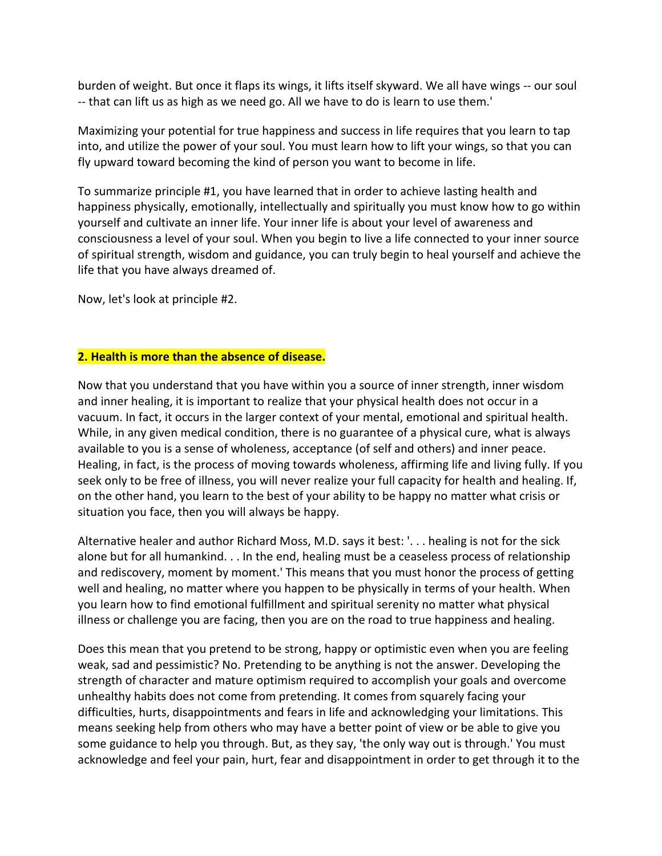burden of weight. But once it flaps its wings, it lifts itself skyward. We all have wings -- our soul -- that can lift us as high as we need go. All we have to do is learn to use them.'

Maximizing your potential for true happiness and success in life requires that you learn to tap into, and utilize the power of your soul. You must learn how to lift your wings, so that you can fly upward toward becoming the kind of person you want to become in life.

To summarize principle #1, you have learned that in order to achieve lasting health and happiness physically, emotionally, intellectually and spiritually you must know how to go within yourself and cultivate an inner life. Your inner life is about your level of awareness and consciousness a level of your soul. When you begin to live a life connected to your inner source of spiritual strength, wisdom and guidance, you can truly begin to heal yourself and achieve the life that you have always dreamed of.

Now, let's look at principle #2.

#### **2. Health is more than the absence of disease.**

Now that you understand that you have within you a source of inner strength, inner wisdom and inner healing, it is important to realize that your physical health does not occur in a vacuum. In fact, it occurs in the larger context of your mental, emotional and spiritual health. While, in any given medical condition, there is no guarantee of a physical cure, what is always available to you is a sense of wholeness, acceptance (of self and others) and inner peace. Healing, in fact, is the process of moving towards wholeness, affirming life and living fully. If you seek only to be free of illness, you will never realize your full capacity for health and healing. If, on the other hand, you learn to the best of your ability to be happy no matter what crisis or situation you face, then you will always be happy.

Alternative healer and author Richard Moss, M.D. says it best: '. . . healing is not for the sick alone but for all humankind. . . In the end, healing must be a ceaseless process of relationship and rediscovery, moment by moment.' This means that you must honor the process of getting well and healing, no matter where you happen to be physically in terms of your health. When you learn how to find emotional fulfillment and spiritual serenity no matter what physical illness or challenge you are facing, then you are on the road to true happiness and healing.

Does this mean that you pretend to be strong, happy or optimistic even when you are feeling weak, sad and pessimistic? No. Pretending to be anything is not the answer. Developing the strength of character and mature optimism required to accomplish your goals and overcome unhealthy habits does not come from pretending. It comes from squarely facing your difficulties, hurts, disappointments and fears in life and acknowledging your limitations. This means seeking help from others who may have a better point of view or be able to give you some guidance to help you through. But, as they say, 'the only way out is through.' You must acknowledge and feel your pain, hurt, fear and disappointment in order to get through it to the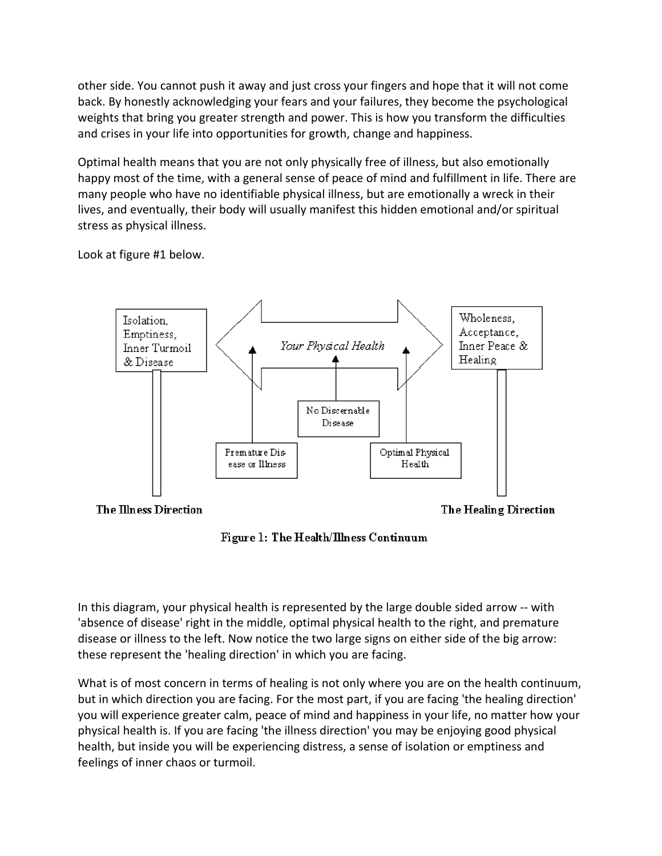other side. You cannot push it away and just cross your fingers and hope that it will not come back. By honestly acknowledging your fears and your failures, they become the psychological weights that bring you greater strength and power. This is how you transform the difficulties and crises in your life into opportunities for growth, change and happiness.

Optimal health means that you are not only physically free of illness, but also emotionally happy most of the time, with a general sense of peace of mind and fulfillment in life. There are many people who have no identifiable physical illness, but are emotionally a wreck in their lives, and eventually, their body will usually manifest this hidden emotional and/or spiritual stress as physical illness.

Look at figure #1 below.



Figure 1: The Health/Illness Continuum

In this diagram, your physical health is represented by the large double sided arrow -- with 'absence of disease' right in the middle, optimal physical health to the right, and premature disease or illness to the left. Now notice the two large signs on either side of the big arrow: these represent the 'healing direction' in which you are facing.

What is of most concern in terms of healing is not only where you are on the health continuum, but in which direction you are facing. For the most part, if you are facing 'the healing direction' you will experience greater calm, peace of mind and happiness in your life, no matter how your physical health is. If you are facing 'the illness direction' you may be enjoying good physical health, but inside you will be experiencing distress, a sense of isolation or emptiness and feelings of inner chaos or turmoil.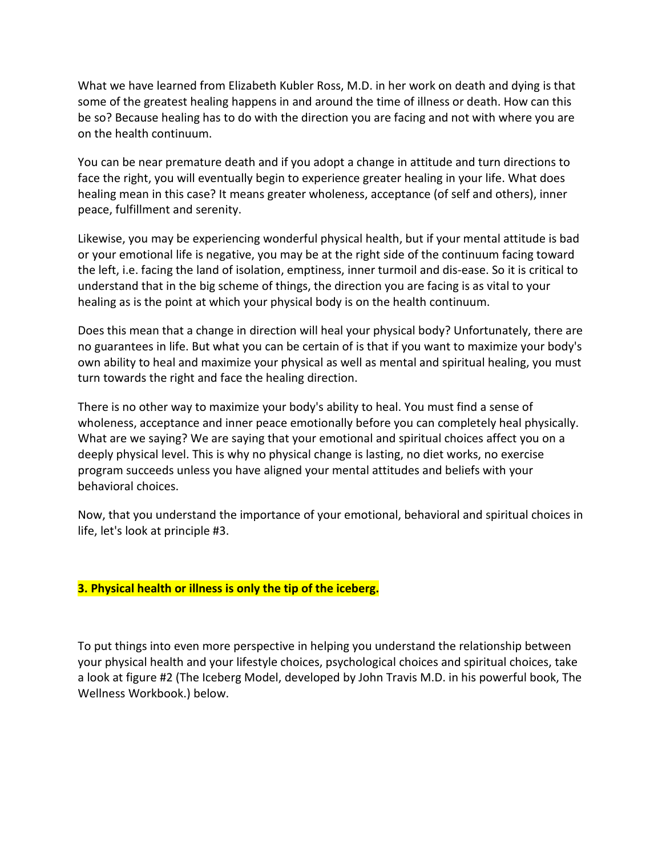What we have learned from Elizabeth Kubler Ross, M.D. in her work on death and dying is that some of the greatest healing happens in and around the time of illness or death. How can this be so? Because healing has to do with the direction you are facing and not with where you are on the health continuum.

You can be near premature death and if you adopt a change in attitude and turn directions to face the right, you will eventually begin to experience greater healing in your life. What does healing mean in this case? It means greater wholeness, acceptance (of self and others), inner peace, fulfillment and serenity.

Likewise, you may be experiencing wonderful physical health, but if your mental attitude is bad or your emotional life is negative, you may be at the right side of the continuum facing toward the left, i.e. facing the land of isolation, emptiness, inner turmoil and dis-ease. So it is critical to understand that in the big scheme of things, the direction you are facing is as vital to your healing as is the point at which your physical body is on the health continuum.

Does this mean that a change in direction will heal your physical body? Unfortunately, there are no guarantees in life. But what you can be certain of is that if you want to maximize your body's own ability to heal and maximize your physical as well as mental and spiritual healing, you must turn towards the right and face the healing direction.

There is no other way to maximize your body's ability to heal. You must find a sense of wholeness, acceptance and inner peace emotionally before you can completely heal physically. What are we saying? We are saying that your emotional and spiritual choices affect you on a deeply physical level. This is why no physical change is lasting, no diet works, no exercise program succeeds unless you have aligned your mental attitudes and beliefs with your behavioral choices.

Now, that you understand the importance of your emotional, behavioral and spiritual choices in life, let's look at principle #3.

### **3. Physical health or illness is only the tip of the iceberg.**

To put things into even more perspective in helping you understand the relationship between your physical health and your lifestyle choices, psychological choices and spiritual choices, take a look at figure #2 (The Iceberg Model, developed by John Travis M.D. in his powerful book, The Wellness Workbook.) below.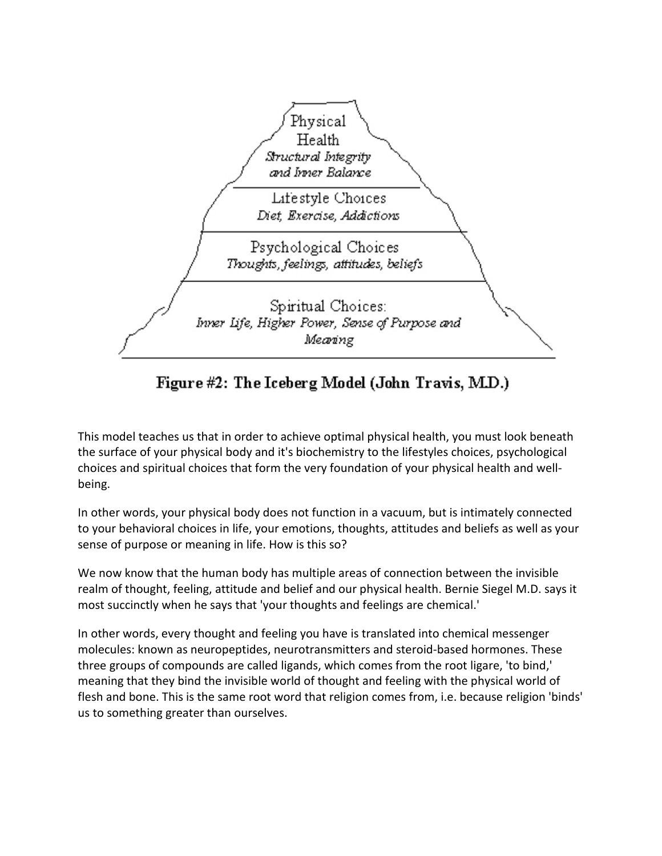

Figure #2: The Iceberg Model (John Travis, M.D.)

This model teaches us that in order to achieve optimal physical health, you must look beneath the surface of your physical body and it's biochemistry to the lifestyles choices, psychological choices and spiritual choices that form the very foundation of your physical health and wellbeing.

In other words, your physical body does not function in a vacuum, but is intimately connected to your behavioral choices in life, your emotions, thoughts, attitudes and beliefs as well as your sense of purpose or meaning in life. How is this so?

We now know that the human body has multiple areas of connection between the invisible realm of thought, feeling, attitude and belief and our physical health. Bernie Siegel M.D. says it most succinctly when he says that 'your thoughts and feelings are chemical.'

In other words, every thought and feeling you have is translated into chemical messenger molecules: known as neuropeptides, neurotransmitters and steroid-based hormones. These three groups of compounds are called ligands, which comes from the root ligare, 'to bind,' meaning that they bind the invisible world of thought and feeling with the physical world of flesh and bone. This is the same root word that religion comes from, i.e. because religion 'binds' us to something greater than ourselves.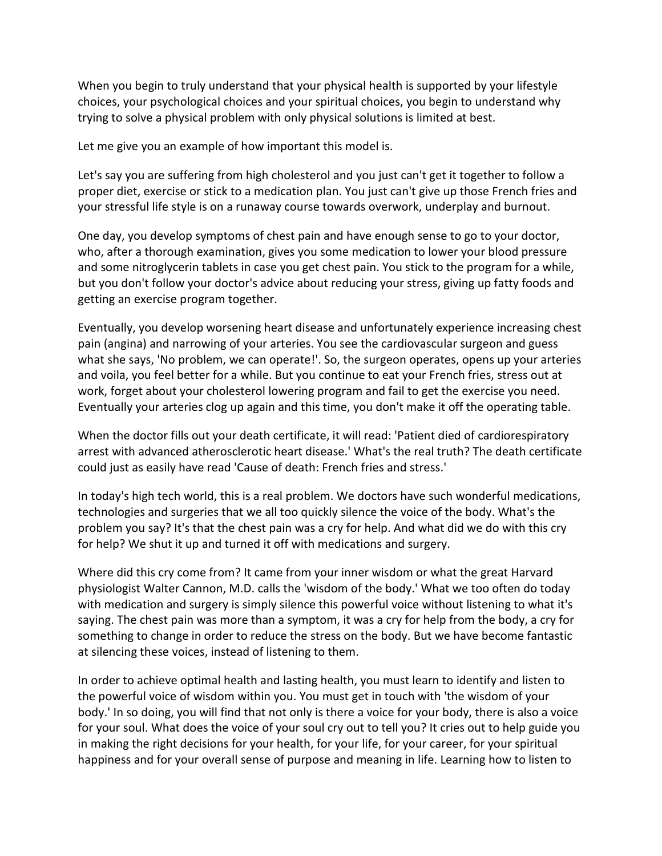When you begin to truly understand that your physical health is supported by your lifestyle choices, your psychological choices and your spiritual choices, you begin to understand why trying to solve a physical problem with only physical solutions is limited at best.

Let me give you an example of how important this model is.

Let's say you are suffering from high cholesterol and you just can't get it together to follow a proper diet, exercise or stick to a medication plan. You just can't give up those French fries and your stressful life style is on a runaway course towards overwork, underplay and burnout.

One day, you develop symptoms of chest pain and have enough sense to go to your doctor, who, after a thorough examination, gives you some medication to lower your blood pressure and some nitroglycerin tablets in case you get chest pain. You stick to the program for a while, but you don't follow your doctor's advice about reducing your stress, giving up fatty foods and getting an exercise program together.

Eventually, you develop worsening heart disease and unfortunately experience increasing chest pain (angina) and narrowing of your arteries. You see the cardiovascular surgeon and guess what she says, 'No problem, we can operate!'. So, the surgeon operates, opens up your arteries and voila, you feel better for a while. But you continue to eat your French fries, stress out at work, forget about your cholesterol lowering program and fail to get the exercise you need. Eventually your arteries clog up again and this time, you don't make it off the operating table.

When the doctor fills out your death certificate, it will read: 'Patient died of cardiorespiratory arrest with advanced atherosclerotic heart disease.' What's the real truth? The death certificate could just as easily have read 'Cause of death: French fries and stress.'

In today's high tech world, this is a real problem. We doctors have such wonderful medications, technologies and surgeries that we all too quickly silence the voice of the body. What's the problem you say? It's that the chest pain was a cry for help. And what did we do with this cry for help? We shut it up and turned it off with medications and surgery.

Where did this cry come from? It came from your inner wisdom or what the great Harvard physiologist Walter Cannon, M.D. calls the 'wisdom of the body.' What we too often do today with medication and surgery is simply silence this powerful voice without listening to what it's saying. The chest pain was more than a symptom, it was a cry for help from the body, a cry for something to change in order to reduce the stress on the body. But we have become fantastic at silencing these voices, instead of listening to them.

In order to achieve optimal health and lasting health, you must learn to identify and listen to the powerful voice of wisdom within you. You must get in touch with 'the wisdom of your body.' In so doing, you will find that not only is there a voice for your body, there is also a voice for your soul. What does the voice of your soul cry out to tell you? It cries out to help guide you in making the right decisions for your health, for your life, for your career, for your spiritual happiness and for your overall sense of purpose and meaning in life. Learning how to listen to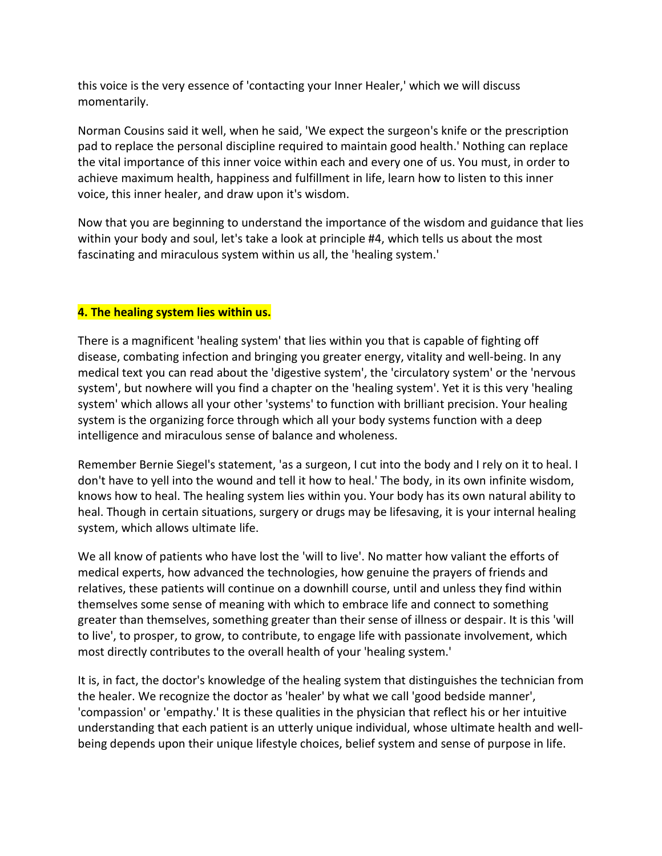this voice is the very essence of 'contacting your Inner Healer,' which we will discuss momentarily.

Norman Cousins said it well, when he said, 'We expect the surgeon's knife or the prescription pad to replace the personal discipline required to maintain good health.' Nothing can replace the vital importance of this inner voice within each and every one of us. You must, in order to achieve maximum health, happiness and fulfillment in life, learn how to listen to this inner voice, this inner healer, and draw upon it's wisdom.

Now that you are beginning to understand the importance of the wisdom and guidance that lies within your body and soul, let's take a look at principle #4, which tells us about the most fascinating and miraculous system within us all, the 'healing system.'

### **4. The healing system lies within us.**

There is a magnificent 'healing system' that lies within you that is capable of fighting off disease, combating infection and bringing you greater energy, vitality and well-being. In any medical text you can read about the 'digestive system', the 'circulatory system' or the 'nervous system', but nowhere will you find a chapter on the 'healing system'. Yet it is this very 'healing system' which allows all your other 'systems' to function with brilliant precision. Your healing system is the organizing force through which all your body systems function with a deep intelligence and miraculous sense of balance and wholeness.

Remember Bernie Siegel's statement, 'as a surgeon, I cut into the body and I rely on it to heal. I don't have to yell into the wound and tell it how to heal.' The body, in its own infinite wisdom, knows how to heal. The healing system lies within you. Your body has its own natural ability to heal. Though in certain situations, surgery or drugs may be lifesaving, it is your internal healing system, which allows ultimate life.

We all know of patients who have lost the 'will to live'. No matter how valiant the efforts of medical experts, how advanced the technologies, how genuine the prayers of friends and relatives, these patients will continue on a downhill course, until and unless they find within themselves some sense of meaning with which to embrace life and connect to something greater than themselves, something greater than their sense of illness or despair. It is this 'will to live', to prosper, to grow, to contribute, to engage life with passionate involvement, which most directly contributes to the overall health of your 'healing system.'

It is, in fact, the doctor's knowledge of the healing system that distinguishes the technician from the healer. We recognize the doctor as 'healer' by what we call 'good bedside manner', 'compassion' or 'empathy.' It is these qualities in the physician that reflect his or her intuitive understanding that each patient is an utterly unique individual, whose ultimate health and wellbeing depends upon their unique lifestyle choices, belief system and sense of purpose in life.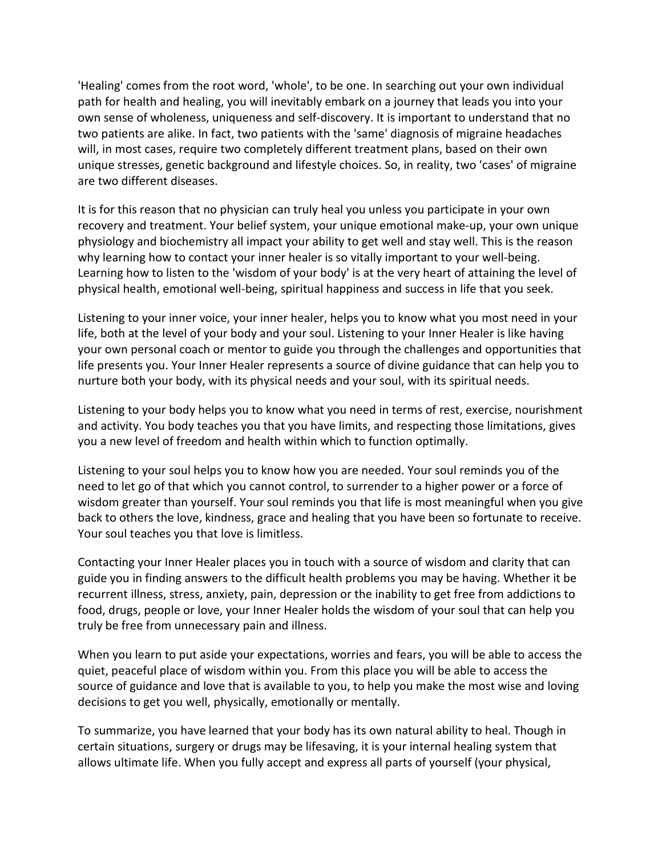'Healing' comes from the root word, 'whole', to be one. In searching out your own individual path for health and healing, you will inevitably embark on a journey that leads you into your own sense of wholeness, uniqueness and self-discovery. It is important to understand that no two patients are alike. In fact, two patients with the 'same' diagnosis of migraine headaches will, in most cases, require two completely different treatment plans, based on their own unique stresses, genetic background and lifestyle choices. So, in reality, two 'cases' of migraine are two different diseases.

It is for this reason that no physician can truly heal you unless you participate in your own recovery and treatment. Your belief system, your unique emotional make-up, your own unique physiology and biochemistry all impact your ability to get well and stay well. This is the reason why learning how to contact your inner healer is so vitally important to your well-being. Learning how to listen to the 'wisdom of your body' is at the very heart of attaining the level of physical health, emotional well-being, spiritual happiness and success in life that you seek.

Listening to your inner voice, your inner healer, helps you to know what you most need in your life, both at the level of your body and your soul. Listening to your Inner Healer is like having your own personal coach or mentor to guide you through the challenges and opportunities that life presents you. Your Inner Healer represents a source of divine guidance that can help you to nurture both your body, with its physical needs and your soul, with its spiritual needs.

Listening to your body helps you to know what you need in terms of rest, exercise, nourishment and activity. You body teaches you that you have limits, and respecting those limitations, gives you a new level of freedom and health within which to function optimally.

Listening to your soul helps you to know how you are needed. Your soul reminds you of the need to let go of that which you cannot control, to surrender to a higher power or a force of wisdom greater than yourself. Your soul reminds you that life is most meaningful when you give back to others the love, kindness, grace and healing that you have been so fortunate to receive. Your soul teaches you that love is limitless.

Contacting your Inner Healer places you in touch with a source of wisdom and clarity that can guide you in finding answers to the difficult health problems you may be having. Whether it be recurrent illness, stress, anxiety, pain, depression or the inability to get free from addictions to food, drugs, people or love, your Inner Healer holds the wisdom of your soul that can help you truly be free from unnecessary pain and illness.

When you learn to put aside your expectations, worries and fears, you will be able to access the quiet, peaceful place of wisdom within you. From this place you will be able to access the source of guidance and love that is available to you, to help you make the most wise and loving decisions to get you well, physically, emotionally or mentally.

To summarize, you have learned that your body has its own natural ability to heal. Though in certain situations, surgery or drugs may be lifesaving, it is your internal healing system that allows ultimate life. When you fully accept and express all parts of yourself (your physical,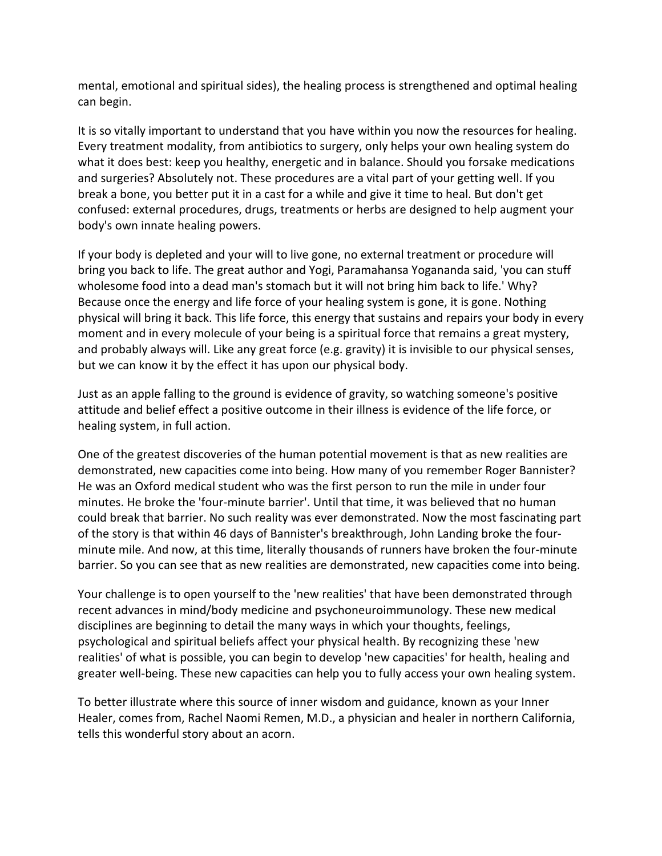mental, emotional and spiritual sides), the healing process is strengthened and optimal healing can begin.

It is so vitally important to understand that you have within you now the resources for healing. Every treatment modality, from antibiotics to surgery, only helps your own healing system do what it does best: keep you healthy, energetic and in balance. Should you forsake medications and surgeries? Absolutely not. These procedures are a vital part of your getting well. If you break a bone, you better put it in a cast for a while and give it time to heal. But don't get confused: external procedures, drugs, treatments or herbs are designed to help augment your body's own innate healing powers.

If your body is depleted and your will to live gone, no external treatment or procedure will bring you back to life. The great author and Yogi, Paramahansa Yogananda said, 'you can stuff wholesome food into a dead man's stomach but it will not bring him back to life.' Why? Because once the energy and life force of your healing system is gone, it is gone. Nothing physical will bring it back. This life force, this energy that sustains and repairs your body in every moment and in every molecule of your being is a spiritual force that remains a great mystery, and probably always will. Like any great force (e.g. gravity) it is invisible to our physical senses, but we can know it by the effect it has upon our physical body.

Just as an apple falling to the ground is evidence of gravity, so watching someone's positive attitude and belief effect a positive outcome in their illness is evidence of the life force, or healing system, in full action.

One of the greatest discoveries of the human potential movement is that as new realities are demonstrated, new capacities come into being. How many of you remember Roger Bannister? He was an Oxford medical student who was the first person to run the mile in under four minutes. He broke the 'four-minute barrier'. Until that time, it was believed that no human could break that barrier. No such reality was ever demonstrated. Now the most fascinating part of the story is that within 46 days of Bannister's breakthrough, John Landing broke the fourminute mile. And now, at this time, literally thousands of runners have broken the four-minute barrier. So you can see that as new realities are demonstrated, new capacities come into being.

Your challenge is to open yourself to the 'new realities' that have been demonstrated through recent advances in mind/body medicine and psychoneuroimmunology. These new medical disciplines are beginning to detail the many ways in which your thoughts, feelings, psychological and spiritual beliefs affect your physical health. By recognizing these 'new realities' of what is possible, you can begin to develop 'new capacities' for health, healing and greater well-being. These new capacities can help you to fully access your own healing system.

To better illustrate where this source of inner wisdom and guidance, known as your Inner Healer, comes from, Rachel Naomi Remen, M.D., a physician and healer in northern California, tells this wonderful story about an acorn.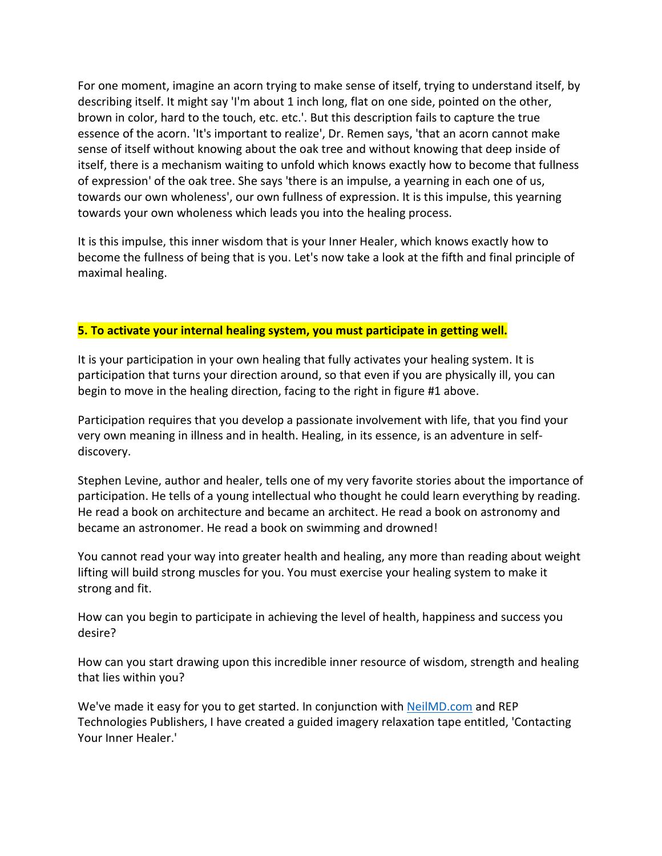For one moment, imagine an acorn trying to make sense of itself, trying to understand itself, by describing itself. It might say 'I'm about 1 inch long, flat on one side, pointed on the other, brown in color, hard to the touch, etc. etc.'. But this description fails to capture the true essence of the acorn. 'It's important to realize', Dr. Remen says, 'that an acorn cannot make sense of itself without knowing about the oak tree and without knowing that deep inside of itself, there is a mechanism waiting to unfold which knows exactly how to become that fullness of expression' of the oak tree. She says 'there is an impulse, a yearning in each one of us, towards our own wholeness', our own fullness of expression. It is this impulse, this yearning towards your own wholeness which leads you into the healing process.

It is this impulse, this inner wisdom that is your Inner Healer, which knows exactly how to become the fullness of being that is you. Let's now take a look at the fifth and final principle of maximal healing.

#### **5. To activate your internal healing system, you must participate in getting well.**

It is your participation in your own healing that fully activates your healing system. It is participation that turns your direction around, so that even if you are physically ill, you can begin to move in the healing direction, facing to the right in figure #1 above.

Participation requires that you develop a passionate involvement with life, that you find your very own meaning in illness and in health. Healing, in its essence, is an adventure in selfdiscovery.

Stephen Levine, author and healer, tells one of my very favorite stories about the importance of participation. He tells of a young intellectual who thought he could learn everything by reading. He read a book on architecture and became an architect. He read a book on astronomy and became an astronomer. He read a book on swimming and drowned!

You cannot read your way into greater health and healing, any more than reading about weight lifting will build strong muscles for you. You must exercise your healing system to make it strong and fit.

How can you begin to participate in achieving the level of health, happiness and success you desire?

How can you start drawing upon this incredible inner resource of wisdom, strength and healing that lies within you?

We've made it easy for you to get started. In conjunction with **NeilMD.com** and REP Technologies Publishers, I have created a guided imagery relaxation tape entitled, 'Contacting Your Inner Healer.'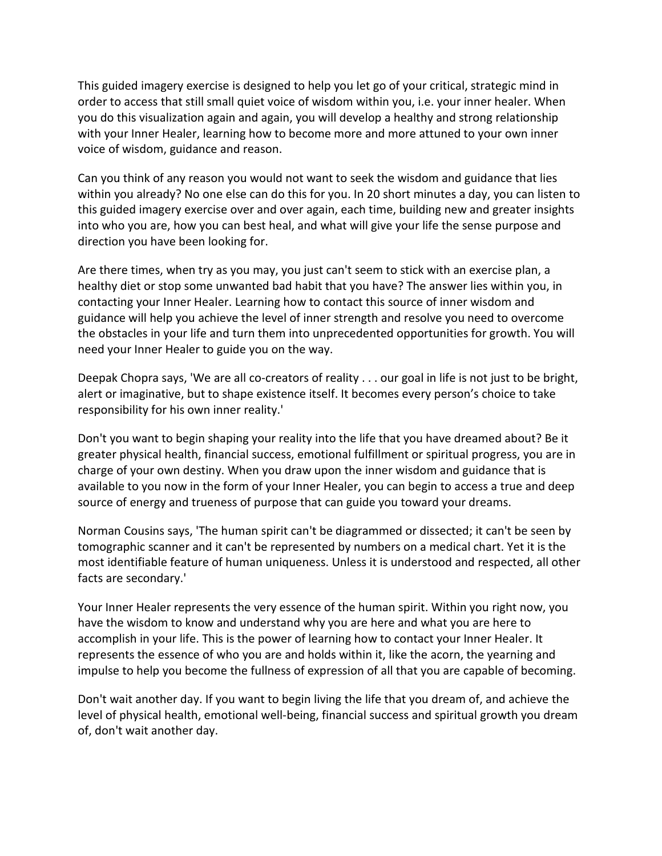This guided imagery exercise is designed to help you let go of your critical, strategic mind in order to access that still small quiet voice of wisdom within you, i.e. your inner healer. When you do this visualization again and again, you will develop a healthy and strong relationship with your Inner Healer, learning how to become more and more attuned to your own inner voice of wisdom, guidance and reason.

Can you think of any reason you would not want to seek the wisdom and guidance that lies within you already? No one else can do this for you. In 20 short minutes a day, you can listen to this guided imagery exercise over and over again, each time, building new and greater insights into who you are, how you can best heal, and what will give your life the sense purpose and direction you have been looking for.

Are there times, when try as you may, you just can't seem to stick with an exercise plan, a healthy diet or stop some unwanted bad habit that you have? The answer lies within you, in contacting your Inner Healer. Learning how to contact this source of inner wisdom and guidance will help you achieve the level of inner strength and resolve you need to overcome the obstacles in your life and turn them into unprecedented opportunities for growth. You will need your Inner Healer to guide you on the way.

Deepak Chopra says, 'We are all co-creators of reality . . . our goal in life is not just to be bright, alert or imaginative, but to shape existence itself. It becomes every person's choice to take responsibility for his own inner reality.'

Don't you want to begin shaping your reality into the life that you have dreamed about? Be it greater physical health, financial success, emotional fulfillment or spiritual progress, you are in charge of your own destiny. When you draw upon the inner wisdom and guidance that is available to you now in the form of your Inner Healer, you can begin to access a true and deep source of energy and trueness of purpose that can guide you toward your dreams.

Norman Cousins says, 'The human spirit can't be diagrammed or dissected; it can't be seen by tomographic scanner and it can't be represented by numbers on a medical chart. Yet it is the most identifiable feature of human uniqueness. Unless it is understood and respected, all other facts are secondary.'

Your Inner Healer represents the very essence of the human spirit. Within you right now, you have the wisdom to know and understand why you are here and what you are here to accomplish in your life. This is the power of learning how to contact your Inner Healer. It represents the essence of who you are and holds within it, like the acorn, the yearning and impulse to help you become the fullness of expression of all that you are capable of becoming.

Don't wait another day. If you want to begin living the life that you dream of, and achieve the level of physical health, emotional well-being, financial success and spiritual growth you dream of, don't wait another day.